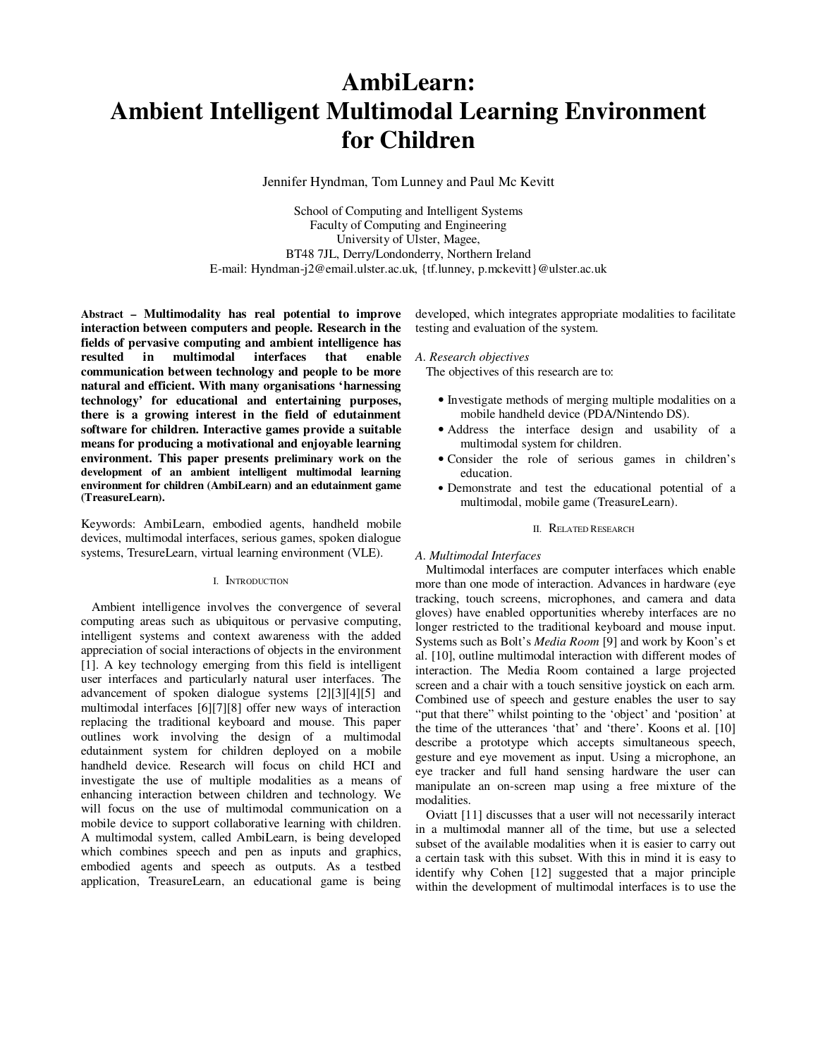# **AmbiLearn: Ambient Intelligent Multimodal Learning Environment for Children**

Jennifer Hyndman, Tom Lunney and Paul Mc Kevitt

School of Computing and Intelligent Systems Faculty of Computing and Engineering University of Ulster, Magee, BT48 7JL, Derry/Londonderry, Northern Ireland E-mail: Hyndman-j2@email.ulster.ac.uk, {tf.lunney, p.mckevitt}@ulster.ac.uk

**Abstract – Multimodality has real potential to improve interaction between computers and people. Research in the fields of pervasive computing and ambient intelligence has**  in multimodal interfaces that enable **communication between technology and people to be more natural and efficient. With many organisations 'harnessing technology' for educational and entertaining purposes, there is a growing interest in the field of edutainment software for children. Interactive games provide a suitable means for producing a motivational and enjoyable learning environment. This paper presents preliminary work on the development of an ambient intelligent multimodal learning environment for children (AmbiLearn) and an edutainment game (TreasureLearn).** 

Keywords: AmbiLearn, embodied agents, handheld mobile devices, multimodal interfaces, serious games, spoken dialogue systems, TresureLearn, virtual learning environment (VLE).

## I. INTRODUCTION

Ambient intelligence involves the convergence of several computing areas such as ubiquitous or pervasive computing, intelligent systems and context awareness with the added appreciation of social interactions of objects in the environment [1]. A key technology emerging from this field is intelligent user interfaces and particularly natural user interfaces. The advancement of spoken dialogue systems [2][3][4][5] and multimodal interfaces [6][7][8] offer new ways of interaction replacing the traditional keyboard and mouse. This paper outlines work involving the design of a multimodal edutainment system for children deployed on a mobile handheld device. Research will focus on child HCI and investigate the use of multiple modalities as a means of enhancing interaction between children and technology. We will focus on the use of multimodal communication on a mobile device to support collaborative learning with children. A multimodal system, called AmbiLearn, is being developed which combines speech and pen as inputs and graphics, embodied agents and speech as outputs. As a testbed application, TreasureLearn, an educational game is being

developed, which integrates appropriate modalities to facilitate testing and evaluation of the system.

*A. Research objectives* 

The objectives of this research are to:

- Investigate methods of merging multiple modalities on a mobile handheld device (PDA/Nintendo DS).
- Address the interface design and usability of a multimodal system for children.
- Consider the role of serious games in children's education.
- Demonstrate and test the educational potential of a multimodal, mobile game (TreasureLearn).

# II. RELATED RESEARCH

#### *A. Multimodal Interfaces*

Multimodal interfaces are computer interfaces which enable more than one mode of interaction. Advances in hardware (eye tracking, touch screens, microphones, and camera and data gloves) have enabled opportunities whereby interfaces are no longer restricted to the traditional keyboard and mouse input. Systems such as Bolt's *Media Room* [9] and work by Koon's et al. [10], outline multimodal interaction with different modes of interaction. The Media Room contained a large projected screen and a chair with a touch sensitive joystick on each arm. Combined use of speech and gesture enables the user to say "put that there" whilst pointing to the 'object' and 'position' at the time of the utterances 'that' and 'there'. Koons et al. [10] describe a prototype which accepts simultaneous speech, gesture and eye movement as input. Using a microphone, an eye tracker and full hand sensing hardware the user can manipulate an on-screen map using a free mixture of the modalities.

Oviatt [11] discusses that a user will not necessarily interact in a multimodal manner all of the time, but use a selected subset of the available modalities when it is easier to carry out a certain task with this subset. With this in mind it is easy to identify why Cohen [12] suggested that a major principle within the development of multimodal interfaces is to use the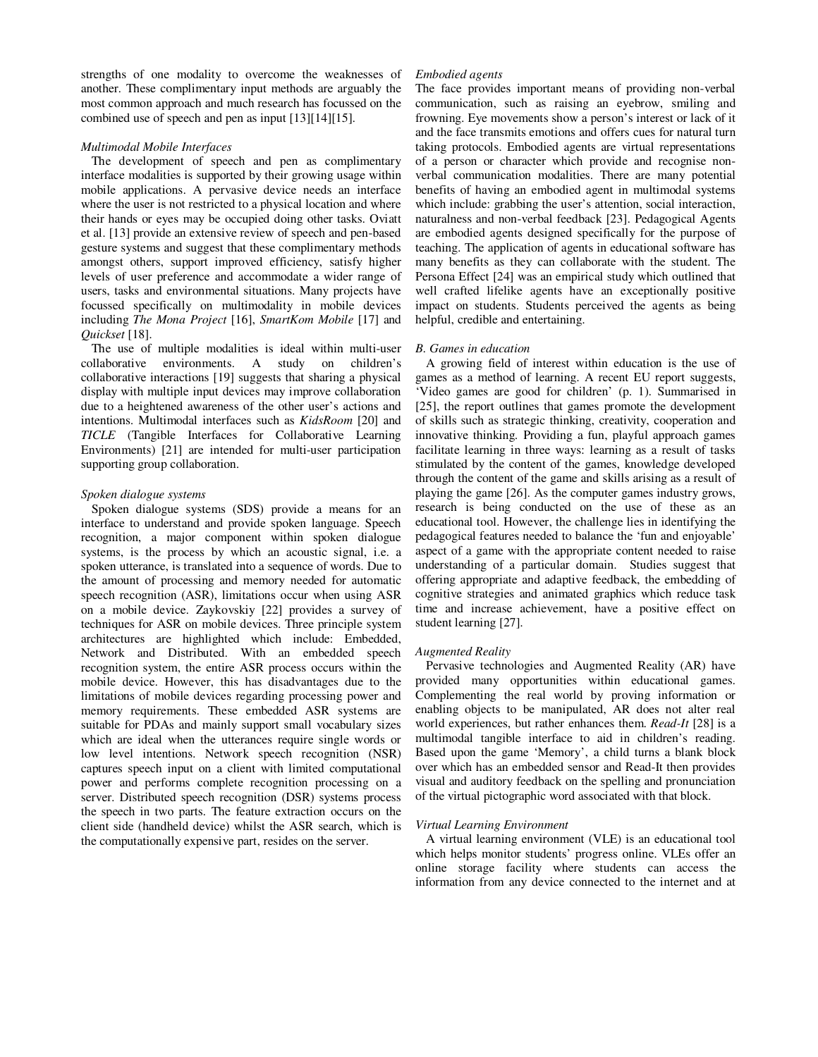strengths of one modality to overcome the weaknesses of another. These complimentary input methods are arguably the most common approach and much research has focussed on the combined use of speech and pen as input [13][14][15].

# *Multimodal Mobile Interfaces*

The development of speech and pen as complimentary interface modalities is supported by their growing usage within mobile applications. A pervasive device needs an interface where the user is not restricted to a physical location and where their hands or eyes may be occupied doing other tasks. Oviatt et al. [13] provide an extensive review of speech and pen-based gesture systems and suggest that these complimentary methods amongst others, support improved efficiency, satisfy higher levels of user preference and accommodate a wider range of users, tasks and environmental situations. Many projects have focussed specifically on multimodality in mobile devices including *The Mona Project* [16], *SmartKom Mobile* [17] and *Quickset* [18].

The use of multiple modalities is ideal within multi-user collaborative environments. A study on children's collaborative interactions [19] suggests that sharing a physical display with multiple input devices may improve collaboration due to a heightened awareness of the other user's actions and intentions. Multimodal interfaces such as *KidsRoom* [20] and *TICLE* (Tangible Interfaces for Collaborative Learning Environments) [21] are intended for multi-user participation supporting group collaboration.

## *Spoken dialogue systems*

Spoken dialogue systems (SDS) provide a means for an interface to understand and provide spoken language. Speech recognition, a major component within spoken dialogue systems, is the process by which an acoustic signal, i.e. a spoken utterance, is translated into a sequence of words. Due to the amount of processing and memory needed for automatic speech recognition (ASR), limitations occur when using ASR on a mobile device. Zaykovskiy [22] provides a survey of techniques for ASR on mobile devices. Three principle system architectures are highlighted which include: Embedded, Network and Distributed. With an embedded speech recognition system, the entire ASR process occurs within the mobile device. However, this has disadvantages due to the limitations of mobile devices regarding processing power and memory requirements. These embedded ASR systems are suitable for PDAs and mainly support small vocabulary sizes which are ideal when the utterances require single words or low level intentions. Network speech recognition (NSR) captures speech input on a client with limited computational power and performs complete recognition processing on a server. Distributed speech recognition (DSR) systems process the speech in two parts. The feature extraction occurs on the client side (handheld device) whilst the ASR search, which is the computationally expensive part, resides on the server.

# *Embodied agents*

The face provides important means of providing non-verbal communication, such as raising an eyebrow, smiling and frowning. Eye movements show a person's interest or lack of it and the face transmits emotions and offers cues for natural turn taking protocols. Embodied agents are virtual representations of a person or character which provide and recognise nonverbal communication modalities. There are many potential benefits of having an embodied agent in multimodal systems which include: grabbing the user's attention, social interaction, naturalness and non-verbal feedback [23]. Pedagogical Agents are embodied agents designed specifically for the purpose of teaching. The application of agents in educational software has many benefits as they can collaborate with the student. The Persona Effect [24] was an empirical study which outlined that well crafted lifelike agents have an exceptionally positive impact on students. Students perceived the agents as being helpful, credible and entertaining.

## *B. Games in education*

 A growing field of interest within education is the use of games as a method of learning. A recent EU report suggests, 'Video games are good for children' (p. 1). Summarised in [25], the report outlines that games promote the development of skills such as strategic thinking, creativity, cooperation and innovative thinking. Providing a fun, playful approach games facilitate learning in three ways: learning as a result of tasks stimulated by the content of the games, knowledge developed through the content of the game and skills arising as a result of playing the game [26]. As the computer games industry grows, research is being conducted on the use of these as an educational tool. However, the challenge lies in identifying the pedagogical features needed to balance the 'fun and enjoyable' aspect of a game with the appropriate content needed to raise understanding of a particular domain. Studies suggest that offering appropriate and adaptive feedback, the embedding of cognitive strategies and animated graphics which reduce task time and increase achievement, have a positive effect on student learning [27].

#### *Augmented Reality*

Pervasive technologies and Augmented Reality (AR) have provided many opportunities within educational games. Complementing the real world by proving information or enabling objects to be manipulated, AR does not alter real world experiences, but rather enhances them. *Read-It* [28] is a multimodal tangible interface to aid in children's reading. Based upon the game 'Memory', a child turns a blank block over which has an embedded sensor and Read-It then provides visual and auditory feedback on the spelling and pronunciation of the virtual pictographic word associated with that block.

#### *Virtual Learning Environment*

A virtual learning environment (VLE) is an educational tool which helps monitor students' progress online. VLEs offer an online storage facility where students can access the information from any device connected to the internet and at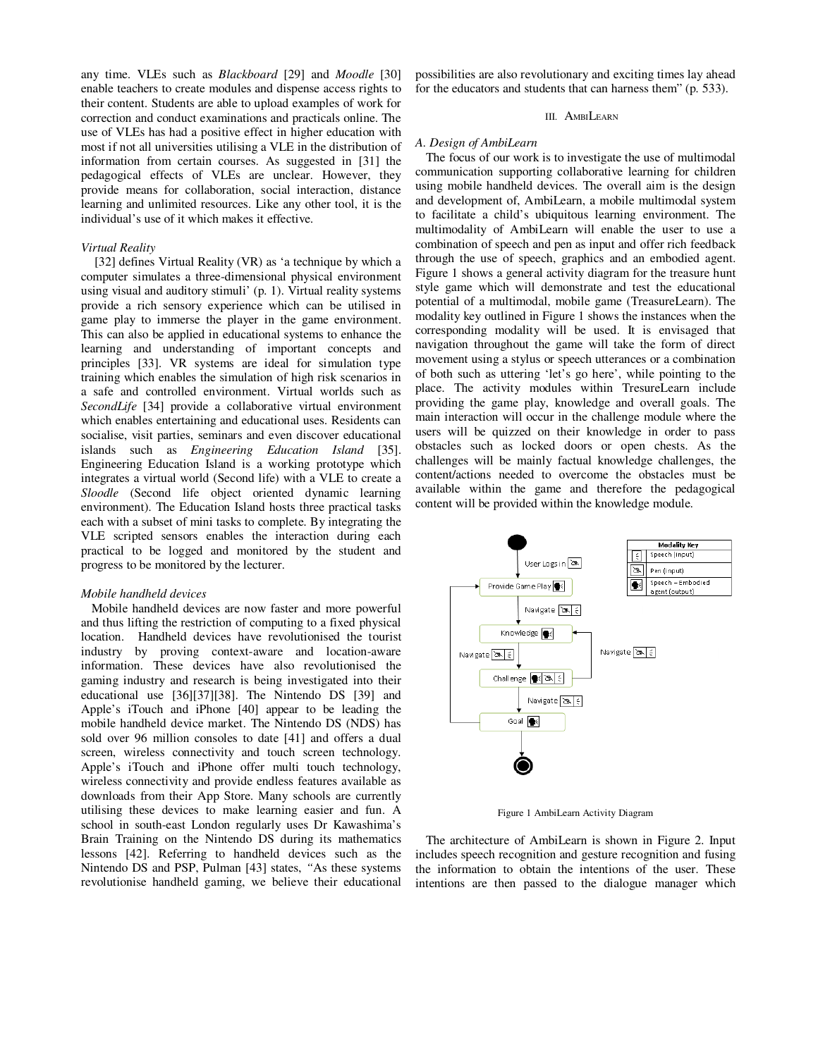any time. VLEs such as *Blackboard* [29] and *Moodle* [30] enable teachers to create modules and dispense access rights to their content. Students are able to upload examples of work for correction and conduct examinations and practicals online. The use of VLEs has had a positive effect in higher education with most if not all universities utilising a VLE in the distribution of information from certain courses. As suggested in [31] the pedagogical effects of VLEs are unclear. However, they provide means for collaboration, social interaction, distance learning and unlimited resources. Like any other tool, it is the individual's use of it which makes it effective.

## *Virtual Reality*

 [32] defines Virtual Reality (VR) as 'a technique by which a computer simulates a three-dimensional physical environment using visual and auditory stimuli' (p. 1). Virtual reality systems provide a rich sensory experience which can be utilised in game play to immerse the player in the game environment. This can also be applied in educational systems to enhance the learning and understanding of important concepts and principles [33]. VR systems are ideal for simulation type training which enables the simulation of high risk scenarios in a safe and controlled environment. Virtual worlds such as *SecondLife* [34] provide a collaborative virtual environment which enables entertaining and educational uses. Residents can socialise, visit parties, seminars and even discover educational islands such as *Engineering Education Island* [35]. Engineering Education Island is a working prototype which integrates a virtual world (Second life) with a VLE to create a *Sloodle* (Second life object oriented dynamic learning environment). The Education Island hosts three practical tasks each with a subset of mini tasks to complete. By integrating the VLE scripted sensors enables the interaction during each practical to be logged and monitored by the student and progress to be monitored by the lecturer.

# *Mobile handheld devices*

Mobile handheld devices are now faster and more powerful and thus lifting the restriction of computing to a fixed physical location. Handheld devices have revolutionised the tourist industry by proving context-aware and location-aware information. These devices have also revolutionised the gaming industry and research is being investigated into their educational use [36][37][38]. The Nintendo DS [39] and Apple's iTouch and iPhone [40] appear to be leading the mobile handheld device market. The Nintendo DS (NDS) has sold over 96 million consoles to date [41] and offers a dual screen, wireless connectivity and touch screen technology. Apple's iTouch and iPhone offer multi touch technology, wireless connectivity and provide endless features available as downloads from their App Store. Many schools are currently utilising these devices to make learning easier and fun. A school in south-east London regularly uses Dr Kawashima's Brain Training on the Nintendo DS during its mathematics lessons [42]. Referring to handheld devices such as the Nintendo DS and PSP, Pulman [43] states, *"*As these systems revolutionise handheld gaming, we believe their educational

possibilities are also revolutionary and exciting times lay ahead for the educators and students that can harness them" (p. 533).

## III. AMBILEARN

#### *A. Design of AmbiLearn*

 The focus of our work is to investigate the use of multimodal communication supporting collaborative learning for children using mobile handheld devices. The overall aim is the design and development of, AmbiLearn, a mobile multimodal system to facilitate a child's ubiquitous learning environment. The multimodality of AmbiLearn will enable the user to use a combination of speech and pen as input and offer rich feedback through the use of speech, graphics and an embodied agent. Figure 1 shows a general activity diagram for the treasure hunt style game which will demonstrate and test the educational potential of a multimodal, mobile game (TreasureLearn). The modality key outlined in Figure 1 shows the instances when the corresponding modality will be used. It is envisaged that navigation throughout the game will take the form of direct movement using a stylus or speech utterances or a combination of both such as uttering 'let's go here', while pointing to the place. The activity modules within TresureLearn include providing the game play, knowledge and overall goals. The main interaction will occur in the challenge module where the users will be quizzed on their knowledge in order to pass obstacles such as locked doors or open chests. As the challenges will be mainly factual knowledge challenges, the content/actions needed to overcome the obstacles must be available within the game and therefore the pedagogical content will be provided within the knowledge module.



Figure 1 AmbiLearn Activity Diagram

 The architecture of AmbiLearn is shown in Figure 2. Input includes speech recognition and gesture recognition and fusing the information to obtain the intentions of the user. These intentions are then passed to the dialogue manager which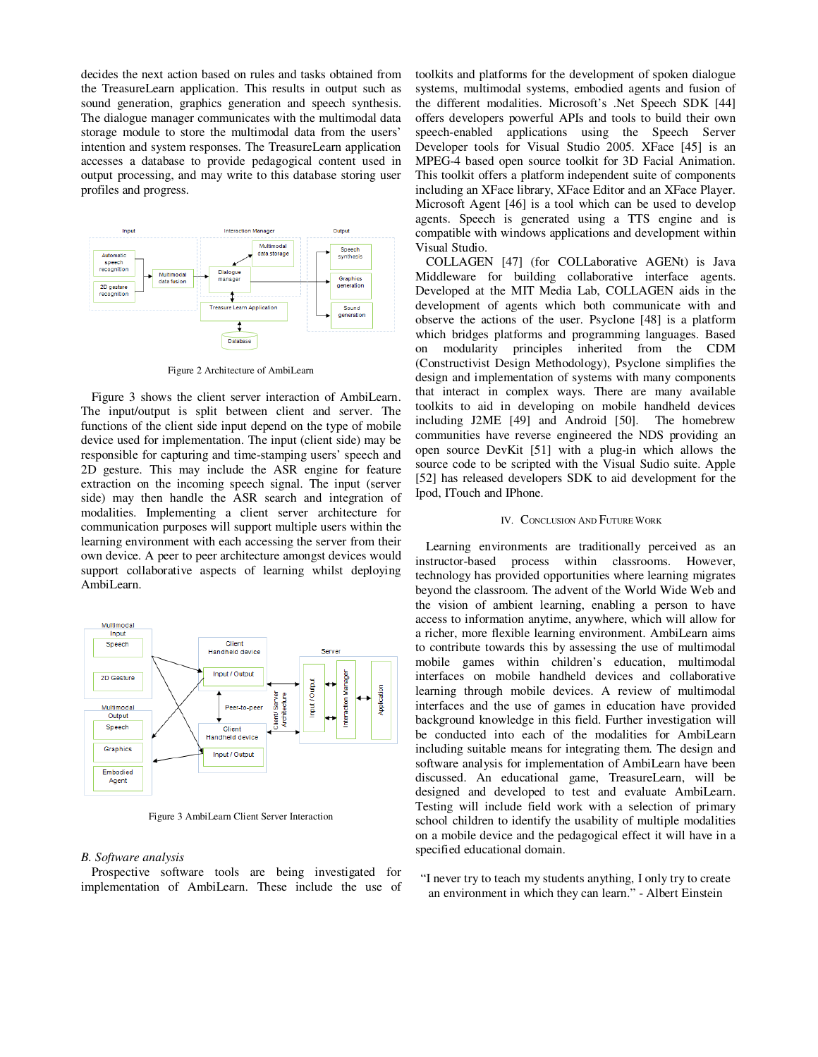decides the next action based on rules and tasks obtained from the TreasureLearn application. This results in output such as sound generation, graphics generation and speech synthesis. The dialogue manager communicates with the multimodal data storage module to store the multimodal data from the users' intention and system responses. The TreasureLearn application accesses a database to provide pedagogical content used in output processing, and may write to this database storing user profiles and progress.



Figure 2 Architecture of AmbiLearn

 Figure 3 shows the client server interaction of AmbiLearn. The input/output is split between client and server. The functions of the client side input depend on the type of mobile device used for implementation. The input (client side) may be responsible for capturing and time-stamping users' speech and 2D gesture. This may include the ASR engine for feature extraction on the incoming speech signal. The input (server side) may then handle the ASR search and integration of modalities. Implementing a client server architecture for communication purposes will support multiple users within the learning environment with each accessing the server from their own device. A peer to peer architecture amongst devices would support collaborative aspects of learning whilst deploying AmbiLearn.



Figure 3 AmbiLearn Client Server Interaction

## *B. Software analysis*

 Prospective software tools are being investigated for implementation of AmbiLearn. These include the use of

toolkits and platforms for the development of spoken dialogue systems, multimodal systems, embodied agents and fusion of the different modalities. Microsoft's .Net Speech SDK [44] offers developers powerful APIs and tools to build their own speech-enabled applications using the Speech Server Developer tools for Visual Studio 2005. XFace [45] is an MPEG-4 based open source toolkit for 3D Facial Animation. This toolkit offers a platform independent suite of components including an XFace library, XFace Editor and an XFace Player. Microsoft Agent [46] is a tool which can be used to develop agents. Speech is generated using a TTS engine and is compatible with windows applications and development within Visual Studio.

 COLLAGEN [47] (for COLLaborative AGENt) is Java Middleware for building collaborative interface agents. Developed at the MIT Media Lab, COLLAGEN aids in the development of agents which both communicate with and observe the actions of the user. Psyclone [48] is a platform which bridges platforms and programming languages. Based on modularity principles inherited from the CDM (Constructivist Design Methodology), Psyclone simplifies the design and implementation of systems with many components that interact in complex ways. There are many available toolkits to aid in developing on mobile handheld devices including J2ME [49] and Android [50]. The homebrew communities have reverse engineered the NDS providing an open source DevKit [51] with a plug-in which allows the source code to be scripted with the Visual Sudio suite. Apple [52] has released developers SDK to aid development for the Ipod, ITouch and IPhone.

#### IV. CONCLUSION AND FUTURE WORK

 Learning environments are traditionally perceived as an instructor-based process within classrooms. However, technology has provided opportunities where learning migrates beyond the classroom. The advent of the World Wide Web and the vision of ambient learning, enabling a person to have access to information anytime, anywhere, which will allow for a richer, more flexible learning environment. AmbiLearn aims to contribute towards this by assessing the use of multimodal mobile games within children's education, multimodal interfaces on mobile handheld devices and collaborative learning through mobile devices. A review of multimodal interfaces and the use of games in education have provided background knowledge in this field. Further investigation will be conducted into each of the modalities for AmbiLearn including suitable means for integrating them. The design and software analysis for implementation of AmbiLearn have been discussed. An educational game, TreasureLearn, will be designed and developed to test and evaluate AmbiLearn. Testing will include field work with a selection of primary school children to identify the usability of multiple modalities on a mobile device and the pedagogical effect it will have in a specified educational domain.

"I never try to teach my students anything, I only try to create an environment in which they can learn." - Albert Einstein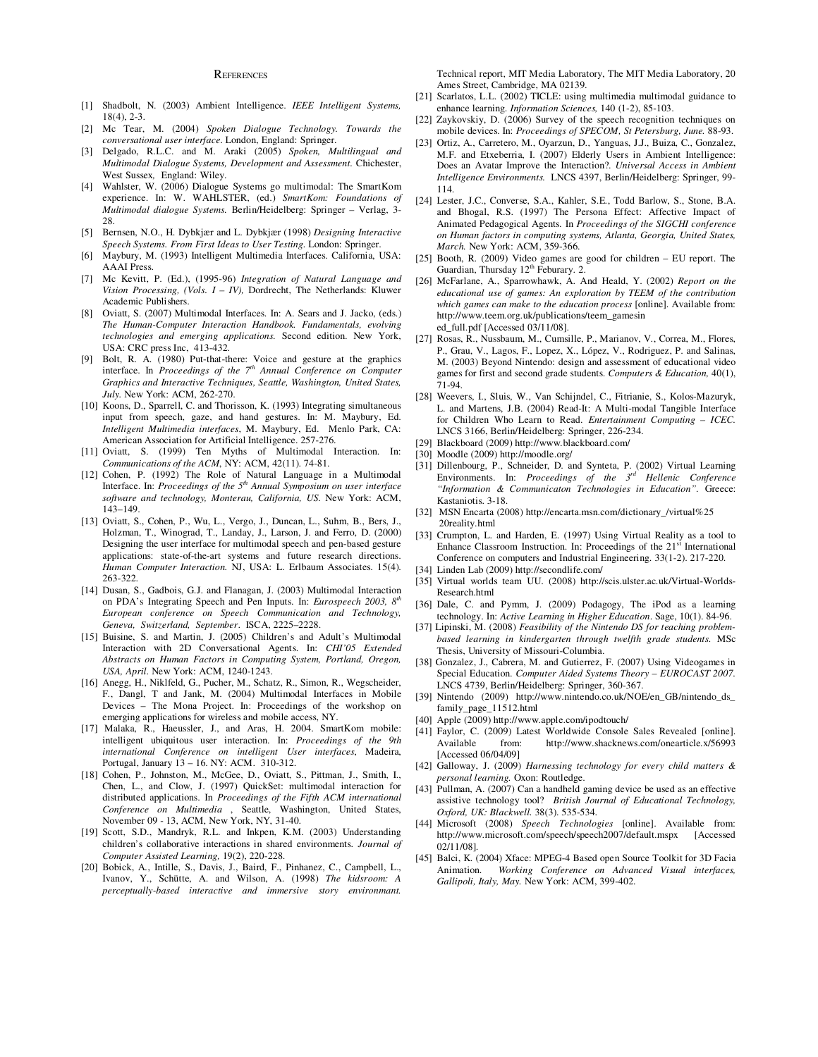#### **REFERENCES**

- [1] Shadbolt, N. (2003) Ambient Intelligence. *IEEE Intelligent Systems,* 18(4), 2-3.
- [2] Mc Tear, M. (2004) *Spoken Dialogue Technology. Towards the conversational user interface*. London, England: Springer.
- [3] Delgado, R.L.C. and M. Araki (2005) *Spoken, Multilingual and Multimodal Dialogue Systems, Development and Assessment.* Chichester, West Sussex*,* England: Wiley.
- [4] Wahlster, W. (2006) Dialogue Systems go multimodal: The SmartKom experience. In: W. WAHLSTER, (ed.) *SmartKom: Foundations of Multimodal dialogue Systems.* Berlin/Heidelberg: Springer – Verlag, 3- 28.
- [5] Bernsen, N.O., H. Dybkjær and L. Dybkjær (1998) *Designing Interactive Speech Systems. From First Ideas to User Testing.* London: Springer.
- [6] Maybury, M. (1993) Intelligent Multimedia Interfaces. California, USA: AAAI Press.
- [7] Mc Kevitt, P. (Ed.), (1995-96) *Integration of Natural Language and Vision Processing, (Vols. I – IV),* Dordrecht, The Netherlands: Kluwer Academic Publishers.
- [8] Oviatt, S. (2007) Multimodal Interfaces. In: A. Sears and J. Jacko, (eds.) *The Human-Computer Interaction Handbook. Fundamentals, evolving technologies and emerging applications.* Second edition. New York, USA: CRC press Inc, 413-432.
- [9] Bolt, R. A. (1980) Put-that-there: Voice and gesture at the graphics interface. In *Proceedings of the 7th Annual Conference on Computer Graphics and Interactive Techniques, Seattle, Washington, United States, July.* New York: ACM, 262-270.
- [10] Koons, D., Sparrell, C. and Thorisson, K. (1993) Integrating simultaneous input from speech, gaze, and hand gestures. In: M. Maybury, Ed. *Intelligent Multimedia interfaces*, M. Maybury, Ed. Menlo Park, CA: American Association for Artificial Intelligence. 257-276.
- [11] Oviatt, S. (1999) Ten Myths of Multimodal Interaction. In: *Communications of the ACM*, NY: ACM, 42(11). 74-81.
- [12] Cohen, P. (1992) The Role of Natural Language in a Multimodal Interface. In: *Proceedings of the 5th Annual Symposium on user interface software and technology, Monterau, California, US.* New York: ACM, 143–149.
- [13] Oviatt, S., Cohen, P., Wu, L., Vergo, J., Duncan, L., Suhm, B., Bers, J., Holzman, T., Winograd, T., Landay, J., Larson, J. and Ferro, D. (2000) Designing the user interface for multimodal speech and pen-based gesture applications: state-of-the-art systems and future research directions. *Human Computer Interaction.* NJ, USA: L. Erlbaum Associates. 15(4). 263-322.
- [14] Dusan, S., Gadbois, G.J. and Flanagan, J. (2003) Multimodal Interaction on PDA's Integrating Speech and Pen Inputs. In: *Eurospeech 2003, 8th European conference on Speech Communication and Technology, Geneva, Switzerland, September*. ISCA, 2225–2228.
- [15] Buisine, S. and Martin, J. (2005) Children's and Adult's Multimodal Interaction with 2D Conversational Agents. In: *CHI'05 Extended Abstracts on Human Factors in Computing System, Portland, Oregon, USA, April.* New York: ACM, 1240-1243.
- [16] Anegg, H., Niklfeld, G., Pucher, M., Schatz, R., Simon, R., Wegscheider, F., Dangl, T and Jank, M. (2004) Multimodal Interfaces in Mobile Devices – The Mona Project. In: Proceedings of the workshop on emerging applications for wireless and mobile access, NY.
- [17] Malaka, R., Haeussler, J., and Aras, H. 2004. SmartKom mobile: intelligent ubiquitous user interaction. In: *Proceedings of the 9th international Conference on intelligent User interfaces*, Madeira, Portugal, January 13 – 16. NY: ACM. 310-312.
- [18] Cohen, P., Johnston, M., McGee, D., Oviatt, S., Pittman, J., Smith, I., Chen, L., and Clow, J. (1997) QuickSet: multimodal interaction for distributed applications. In *Proceedings of the Fifth ACM international Conference on Multimedia* , Seattle, Washington, United States, November 09 - 13, ACM, New York, NY, 31-40.
- [19] Scott, S.D., Mandryk, R.L. and Inkpen, K.M. (2003) Understanding children's collaborative interactions in shared environments. *Journal of Computer Assisted Learning,* 19(2), 220-228.
- [20] Bobick, A*.*, Intille, S., Davis, J., Baird, F., Pinhanez, C., Campbell, L., Ivanov, Y., Schütte, A. and Wilson, A. (1998) *The kidsroom: A perceptually-based interactive and immersive story environmant.*

Technical report, MIT Media Laboratory, The MIT Media Laboratory, 20 Ames Street, Cambridge, MA 02139.

- [21] Scarlatos, L.L. (2002) TICLE: using multimedia multimodal guidance to enhance learning. *Information Sciences,* 140 (1-2), 85-103.
- [22] Zaykovskiy, D. (2006) Survey of the speech recognition techniques on mobile devices. In: *Proceedings of SPECOM, St Petersburg, June.* 88-93.
- [23] Ortiz, A., Carretero, M., Oyarzun, D., Yanguas, J.J., Buiza, C., Gonzalez, M.F. and Etxeberria, I. (2007) Elderly Users in Ambient Intelligence: Does an Avatar Improve the Interaction?. *Universal Access in Ambient Intelligence Environments.* LNCS 4397, Berlin/Heidelberg: Springer, 99- 114.
- [24] Lester, J.C., Converse, S.A., Kahler, S.E., Todd Barlow, S., Stone, B.A. and Bhogal, R.S. (1997) The Persona Effect: Affective Impact of Animated Pedagogical Agents. In *Proceedings of the SIGCHI conference on Human factors in computing systems, Atlanta, Georgia, United States, March.* New York: ACM, 359-366.
- [25] Booth, R. (2009) Video games are good for children EU report. The Guardian, Thursday 12<sup>th</sup> Feburary. 2.
- [26] McFarlane, A., Sparrowhawk, A. And Heald, Y. (2002) *Report on the educational use of games: An exploration by TEEM of the contribution which games can make to the education process* [online]. Available from: http://www.teem.org.uk/publications/teem\_gamesin ed\_full.pdf [Accessed 03/11/08].
- [27] Rosas, R., Nussbaum, M., Cumsille, P., Marianov, V., Correa, M., Flores, P., Grau, V., Lagos, F., Lopez, X., López, V., Rodriguez, P. and Salinas, M. (2003) Beyond Nintendo: design and assessment of educational video games for first and second grade students. *Computers & Education,* 40(1), 71-94.
- [28] Weevers, I., Sluis, W., Van Schijndel, C., Fitrianie, S., Kolos-Mazuryk, L. and Martens, J.B. (2004) Read-It: A Multi-modal Tangible Interface for Children Who Learn to Read. *Entertainment Computing – ICEC.*  LNCS 3166, Berlin/Heidelberg: Springer, 226-234.
- [29] Blackboard (2009) http://www.blackboard.com/
- [30] Moodle (2009) http://moodle.org/
- [31] Dillenbourg, P., Schneider, D. and Synteta, P. (2002) Virtual Learning Environments. In: *Proceedings of the 3<sup>rd</sup> Hellenic Conference "Information & Communicaton Technologies in Education".* Greece: Kastaniotis. 3-18.
- [32] MSN Encarta (2008) http://encarta.msn.com/dictionary\_/virtual%25 20reality.html
- [33] Crumpton, L. and Harden, E. (1997) Using Virtual Reality as a tool to Enhance Classroom Instruction. In: Proceedings of the  $21<sup>st</sup>$  International Conference on computers and Industrial Engineering. 33(1-2). 217-220.
- [34] Linden Lab (2009) http://secondlife.com/
- [35] Virtual worlds team UU. (2008) http://scis.ulster.ac.uk/Virtual-Worlds-Research.html
- [36] Dale, C. and Pymm, J. (2009) Podagogy, The iPod as a learning technology. In: *Active Learning in Higher Education*. Sage, 10(1). 84-96.
- [37] Lipinski, M. (2008) *Feasibility of the Nintendo DS for teaching problembased learning in kindergarten through twelfth grade students.* MSc Thesis, University of Missouri-Columbia.
- [38] Gonzalez, J., Cabrera, M. and Gutierrez, F. (2007) Using Videogames in Special Education. *Computer Aided Systems Theory – EUROCAST 2007.*  LNCS 4739, Berlin/Heidelberg: Springer, 360-367.
- [39] Nintendo (2009) http://www.nintendo.co.uk/NOE/en\_GB/nintendo\_ds\_ family\_page\_11512.html
- [40] Apple (2009) http://www.apple.com/ipodtouch/
- [41] Faylor, C. (2009) Latest Worldwide Console Sales Revealed [online]. Available from: http://www.shacknews.com/onearticle.x/56993 [Accessed 06/04/09]
- [42] Galloway, J. (2009) *Harnessing technology for every child matters & personal learning.* Oxon: Routledge.
- [43] Pullman, A. (2007) Can a handheld gaming device be used as an effective assistive technology tool? *British Journal of Educational Technology, Oxford, UK: Blackwell.* 38(3). 535-534.
- [44] Microsoft (2008) *Speech Technologies* [online]. Available from: http://www.microsoft.com/speech/speech2007/default.mspx [Accessed 02/11/08].
- [45] Balci, K. (2004) Xface: MPEG-4 Based open Source Toolkit for 3D Facia Animation. *Working Conference on Advanced Visual interfaces, Gallipoli, Italy, May.* New York: ACM, 399-402.